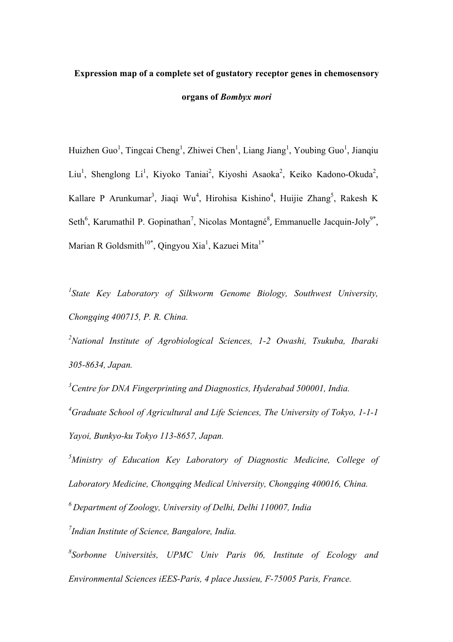# **Expression map of a complete set of gustatory receptor genes in chemosensory organs of** *Bombyx mori*

Huizhen Guo<sup>1</sup>, Tingcai Cheng<sup>1</sup>, Zhiwei Chen<sup>1</sup>, Liang Jiang<sup>1</sup>, Youbing Guo<sup>1</sup>, Jianqiu Liu<sup>1</sup>, Shenglong Li<sup>1</sup>, Kiyoko Taniai<sup>2</sup>, Kiyoshi Asaoka<sup>2</sup>, Keiko Kadono-Okuda<sup>2</sup>, Kallare P Arunkumar<sup>3</sup>, Jiaqi Wu<sup>4</sup>, Hirohisa Kishino<sup>4</sup>, Huijie Zhang<sup>5</sup>, Rakesh K Seth<sup>6</sup>, Karumathil P. Gopinathan<sup>7</sup>, Nicolas Montagné<sup>8</sup>, Emmanuelle Jacquin-Joly<sup>9\*</sup>, Marian R Goldsmith<sup>10\*</sup>, Qingyou Xia<sup>1</sup>, Kazuei Mita<sup>1\*</sup>

<sup>1</sup> State Key Laboratory of Silkworm Genome Biology, Southwest University, *Chongqing 400715, P. R. China.* 

*2 National Institute of Agrobiological Sciences, 1-2 Owashi, Tsukuba, Ibaraki 305-8634, Japan.* 

<sup>3</sup> Centre for DNA Fingerprinting and Diagnostics, Hyderabad 500001, India. *4 Graduate School of Agricultural and Life Sciences, The University of Tokyo, 1-1-1 Yayoi, Bunkyo-ku Tokyo 113-8657, Japan.*

<sup>5</sup>Ministry of Education Key Laboratory of Diagnostic Medicine, College of *Laboratory Medicine, Chongqing Medical University, Chongqing 400016, China.*

*6 Department of Zoology, University of Delhi, Delhi 110007, India*

*7 Indian Institute of Science, Bangalore, India.*

*8 Sorbonne Universités, UPMC Univ Paris 06, Institute of Ecology and Environmental Sciences iEES-Paris, 4 place Jussieu, F-75005 Paris, France.*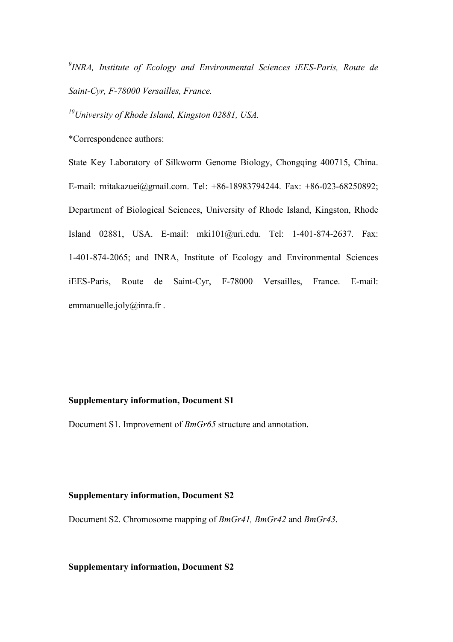*9 INRA, Institute of Ecology and Environmental Sciences iEES-Paris, Route de Saint-Cyr, F-78000 Versailles, France.*

*10University of Rhode Island, Kingston 02881, USA.*

\*Correspondence authors:

State Key Laboratory of Silkworm Genome Biology, Chongqing 400715, China. E-mail: mitakazuei@gmail.com. Tel: +86-18983794244. Fax: +86-023-68250892; Department of Biological Sciences, University of Rhode Island, Kingston, Rhode Island 02881, USA. E-mail: mki101@uri.edu. Tel: 1-401-874-2637. Fax: 1-401-874-2065; and INRA, Institute of Ecology and Environmental Sciences iEES-Paris, Route de Saint-Cyr, F-78000 Versailles, France. E-mail: emmanuelle.joly@inra.fr.

#### **Supplementary information, Document S1**

Document S1. Improvement of *BmGr65* structure and annotation.

#### **Supplementary information, Document S2**

Document S2. Chromosome mapping of *BmGr41, BmGr42* and *BmGr43*.

#### **Supplementary information, Document S2**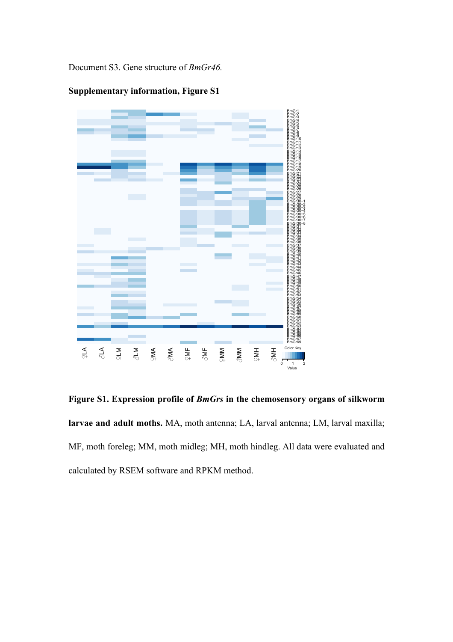Document S3. Gene structure of *BmGr46.*



**Supplementary information, Figure S1**

**Figure S1. Expression profile of** *BmGrs* **in the chemosensory organs of silkworm larvae and adult moths.** MA, moth antenna; LA, larval antenna; LM, larval maxilla; MF, moth foreleg; MM, moth midleg; MH, moth hindleg. All data were evaluated and calculated by RSEM software and RPKM method.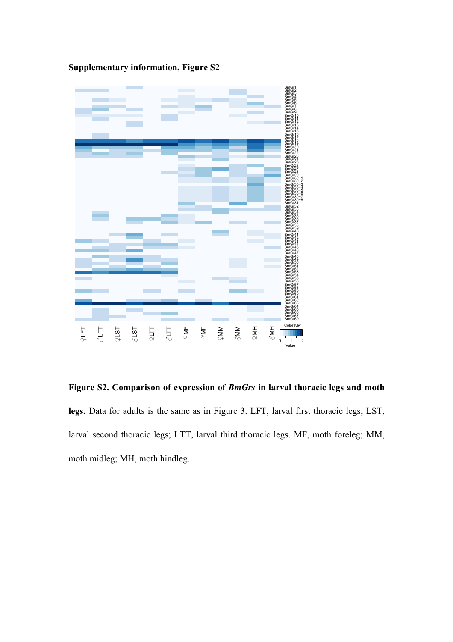

**Supplementary information, Figure S2**

**Figure S2. Comparison of expression of** *BmGrs* **in larval thoracic legs and moth legs.** Data for adults is the same as in Figure 3. LFT, larval first thoracic legs; LST, larval second thoracic legs; LTT, larval third thoracic legs. MF, moth foreleg; MM, moth midleg; MH, moth hindleg.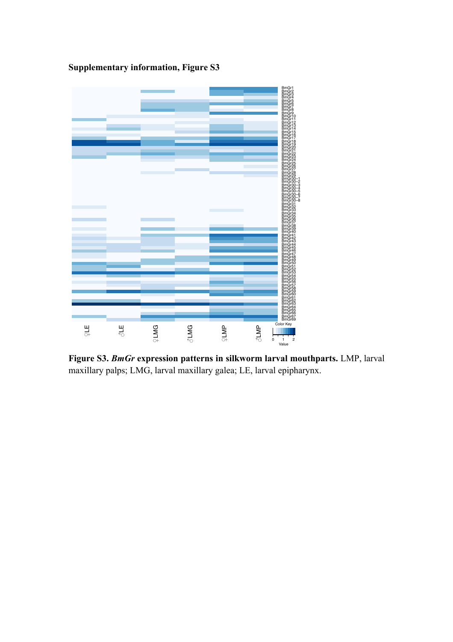

**Supplementary information, Figure S3**

**Figure S3.** *BmGr* **expression patterns in silkworm larval mouthparts.** LMP, larval maxillary palps; LMG, larval maxillary galea; LE, larval epipharynx.